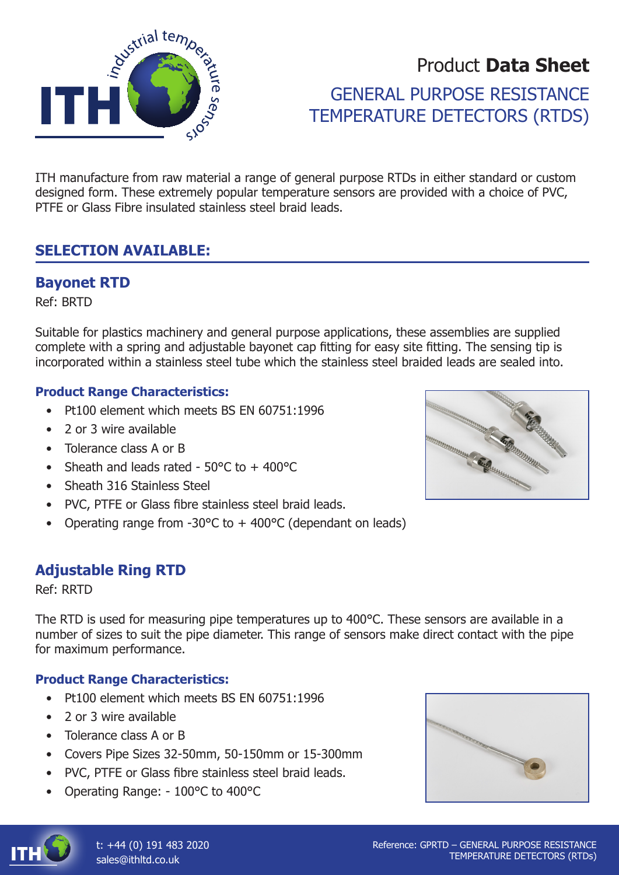

# Product **Data Sheet** GENERAL PURPOSE RESISTANCE TEMPERATURE DETECTORS (RTDS)

ITH manufacture from raw material a range of general purpose RTDs in either standard or custom designed form. These extremely popular temperature sensors are provided with a choice of PVC, PTFE or Glass Fibre insulated stainless steel braid leads.

### **SELECTION AVAILABLE:**

### **Bayonet RTD**

Ref: BRTD

Suitable for plastics machinery and general purpose applications, these assemblies are supplied complete with a spring and adjustable bayonet cap fitting for easy site fitting. The sensing tip is incorporated within a stainless steel tube which the stainless steel braided leads are sealed into.

#### **Product Range Characteristics:**

- Pt100 element which meets BS EN 60751:1996
- 2 or 3 wire available
- Tolerance class A or B
- Sheath and leads rated  $50^{\circ}$ C to +  $400^{\circ}$ C
- Sheath 316 Stainless Steel
- PVC, PTFE or Glass fibre stainless steel braid leads.
- Operating range from -30°C to + 400°C (dependant on leads)

### **Adjustable Ring RTD**

Ref: RRTD

The RTD is used for measuring pipe temperatures up to 400°C. These sensors are available in a number of sizes to suit the pipe diameter. This range of sensors make direct contact with the pipe for maximum performance.

#### **Product Range Characteristics:**

- Pt100 element which meets BS EN 60751:1996
- 2 or 3 wire available
- Tolerance class A or B
- Covers Pipe Sizes 32-50mm, 50-150mm or 15-300mm
- PVC, PTFE or Glass fibre stainless steel braid leads.
- Operating Range: 100°C to 400°C